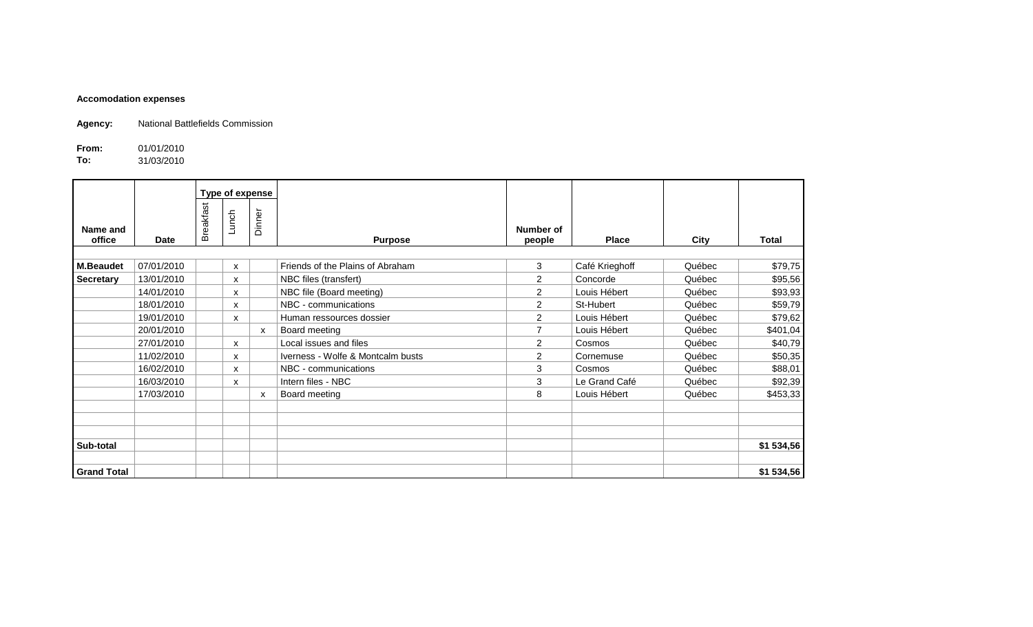## **Accomodation expenses**

**Agency:** National Battlefields Commission

**From:** 01/01/2010<br>**To:** 31/03/2010 **To:** 31/03/2010

|                    |            |           | Type of expense |        |                                   |                     |                |        |              |
|--------------------|------------|-----------|-----------------|--------|-----------------------------------|---------------------|----------------|--------|--------------|
| Name and<br>office | Date       | Breakfast | Lunch           | Dinner | <b>Purpose</b>                    | Number of<br>people | <b>Place</b>   | City   | <b>Total</b> |
|                    |            |           |                 |        |                                   |                     |                |        |              |
| <b>M.Beaudet</b>   | 07/01/2010 |           | X               |        | Friends of the Plains of Abraham  | 3                   | Café Krieghoff | Québec | \$79,75      |
| <b>Secretary</b>   | 13/01/2010 |           | X               |        | NBC files (transfert)             | $\overline{2}$      | Concorde       | Québec | \$95,56      |
|                    | 14/01/2010 |           | x               |        | NBC file (Board meeting)          | $\overline{2}$      | Louis Hébert   | Québec | \$93,93      |
|                    | 18/01/2010 |           | x               |        | NBC - communications              | $\overline{2}$      | St-Hubert      | Québec | \$59,79      |
|                    | 19/01/2010 |           | X               |        | Human ressources dossier          | $\overline{2}$      | Louis Hébert   | Québec | \$79,62      |
|                    | 20/01/2010 |           |                 | X      | Board meeting                     | $\overline{ }$      | Louis Hébert   | Québec | \$401,04     |
|                    | 27/01/2010 |           | X               |        | Local issues and files            | $\overline{2}$      | Cosmos         | Québec | \$40,79      |
|                    | 11/02/2010 |           | X               |        | Iverness - Wolfe & Montcalm busts | $\overline{2}$      | Cornemuse      | Québec | \$50,35      |
|                    | 16/02/2010 |           | X               |        | NBC - communications              | 3                   | Cosmos         | Québec | \$88,01      |
|                    | 16/03/2010 |           | X               |        | Intern files - NBC                | 3                   | Le Grand Café  | Québec | \$92,39      |
|                    | 17/03/2010 |           |                 | X      | Board meeting                     | 8                   | Louis Hébert   | Québec | \$453,33     |
|                    |            |           |                 |        |                                   |                     |                |        |              |
|                    |            |           |                 |        |                                   |                     |                |        |              |
|                    |            |           |                 |        |                                   |                     |                |        |              |
| Sub-total          |            |           |                 |        |                                   |                     |                |        | \$1 534,56   |
|                    |            |           |                 |        |                                   |                     |                |        |              |
| <b>Grand Total</b> |            |           |                 |        |                                   |                     |                |        | \$1 534,56   |